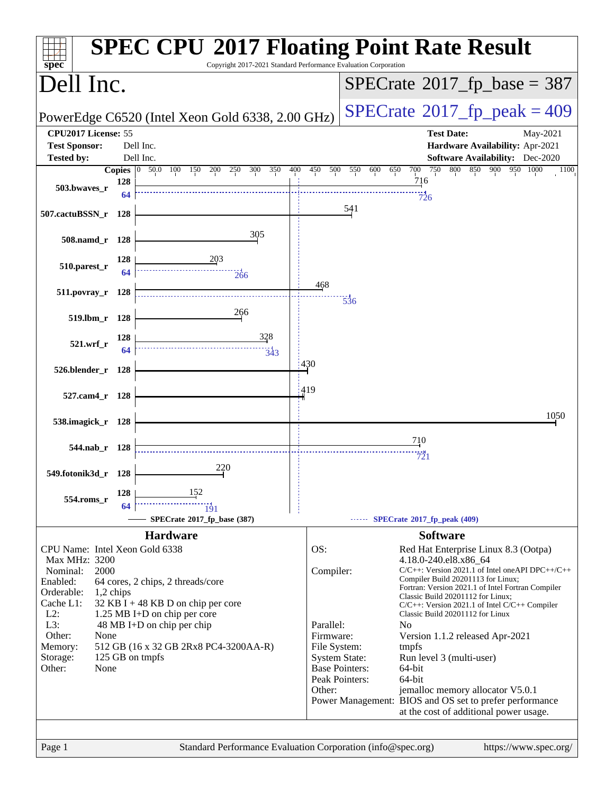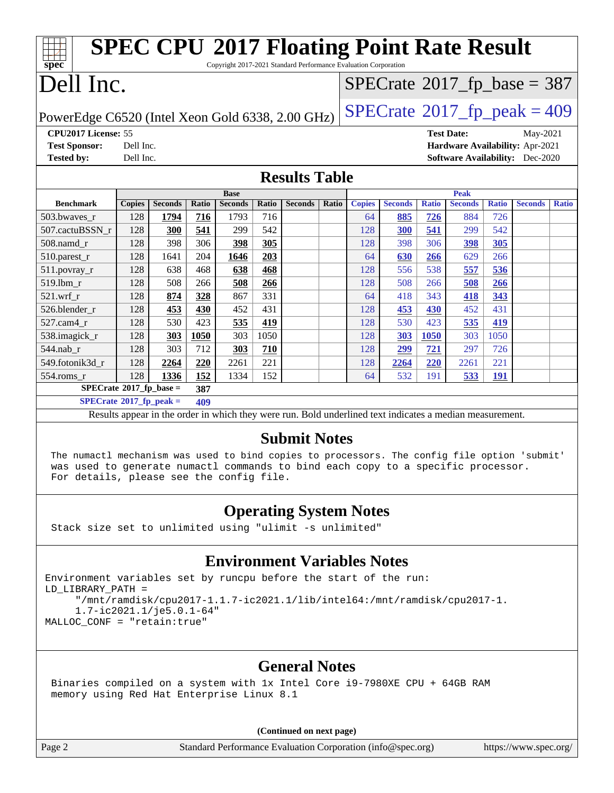| <b>SPEC CPU®2017 Floating Point Rate Result</b>                                                          |                                                     |                |       |                |       |                                |       |               |                |              |                |              |                |              |
|----------------------------------------------------------------------------------------------------------|-----------------------------------------------------|----------------|-------|----------------|-------|--------------------------------|-------|---------------|----------------|--------------|----------------|--------------|----------------|--------------|
| Copyright 2017-2021 Standard Performance Evaluation Corporation<br>spec <sup>®</sup>                     |                                                     |                |       |                |       |                                |       |               |                |              |                |              |                |              |
| Dell Inc.                                                                                                |                                                     |                |       |                |       | $SPECrate@2017_fp\_base = 387$ |       |               |                |              |                |              |                |              |
|                                                                                                          |                                                     |                |       |                |       |                                |       |               |                |              |                |              |                |              |
| $SPECTate@2017_fp\_peak = 409$<br>PowerEdge C6520 (Intel Xeon Gold 6338, 2.00 GHz)                       |                                                     |                |       |                |       |                                |       |               |                |              |                |              |                |              |
| CPU2017 License: 55<br><b>Test Date:</b><br>May-2021                                                     |                                                     |                |       |                |       |                                |       |               |                |              |                |              |                |              |
| <b>Test Sponsor:</b>                                                                                     | Dell Inc.<br>Hardware Availability: Apr-2021        |                |       |                |       |                                |       |               |                |              |                |              |                |              |
| <b>Tested by:</b>                                                                                        | Dell Inc.<br><b>Software Availability:</b> Dec-2020 |                |       |                |       |                                |       |               |                |              |                |              |                |              |
| <b>Results Table</b>                                                                                     |                                                     |                |       |                |       |                                |       |               |                |              |                |              |                |              |
|                                                                                                          |                                                     |                |       | <b>Base</b>    |       |                                |       |               |                |              | Peak           |              |                |              |
| <b>Benchmark</b>                                                                                         | <b>Copies</b>                                       | <b>Seconds</b> | Ratio | <b>Seconds</b> | Ratio | <b>Seconds</b>                 | Ratio | <b>Copies</b> | <b>Seconds</b> | <b>Ratio</b> | <b>Seconds</b> | <b>Ratio</b> | <b>Seconds</b> | <b>Ratio</b> |
| 503.bwaves_r                                                                                             | 128                                                 | 1794           | 716   | 1793           | 716   |                                |       | 64            | 885            | 726          | 884            | 726          |                |              |
| 507.cactuBSSN r                                                                                          | 128                                                 | 300            | 541   | 299            | 542   |                                |       | 128           | 300            | 541          | 299            | 542          |                |              |
| 508.namd r                                                                                               | 128                                                 | 398            | 306   | 398            | 305   |                                |       | 128           | 398            | 306          | 398            | 305          |                |              |
| 510.parest_r                                                                                             | 128                                                 | 1641           | 204   | 1646           | 203   |                                |       | 64            | 630            | 266          | 629            | 266          |                |              |
| 511.povray_r                                                                                             | 128                                                 | 638            | 468   | 638            | 468   |                                |       | 128           | 556            | 538          | 557            | 536          |                |              |
| 519.1bm_r                                                                                                | 128                                                 | 508            | 266   | 508            | 266   |                                |       | 128           | 508            | 266          | 508            | 266          |                |              |
| 521.wrf r                                                                                                | 128                                                 | 874            | 328   | 867            | 331   |                                |       | 64            | 418            | 343          | 418            | 343          |                |              |
| 526.blender_r                                                                                            | 128                                                 | 453            | 430   | 452            | 431   |                                |       | 128           | 453            | 430          | 452            | 431          |                |              |
| 527.cam4 r                                                                                               | 128                                                 | 530            | 423   | 535            | 419   |                                |       | 128           | 530            | 423          | 535            | 419          |                |              |
| 538.imagick_r                                                                                            | 128                                                 | 303            | 1050  | 303            | 1050  |                                |       | 128           | 303            | 1050         | 303            | 1050         |                |              |
| 544.nab r                                                                                                | 128                                                 | 303            | 712   | 303            | 710   |                                |       | 128           | 299            | 721          | 297            | 726          |                |              |
| 549.fotonik3d_r                                                                                          | 128                                                 | 2264           | 220   | 2261           | 221   |                                |       | 128           | 2264           | 220          | 2261           | 221          |                |              |
| 554.roms r                                                                                               | 128                                                 | 1336           | 152   | 1334           | 152   |                                |       | 64            | 532            | 191          | 533            | <b>191</b>   |                |              |
| $SPECrate^*2017_fp\_base =$<br>387                                                                       |                                                     |                |       |                |       |                                |       |               |                |              |                |              |                |              |
| $SPECrate^{\circ}2017$ _fp_peak =<br>409                                                                 |                                                     |                |       |                |       |                                |       |               |                |              |                |              |                |              |
| Results appear in the order in which they were run. Bold underlined text indicates a median measurement. |                                                     |                |       |                |       |                                |       |               |                |              |                |              |                |              |

### **[Submit Notes](http://www.spec.org/auto/cpu2017/Docs/result-fields.html#SubmitNotes)**

 The numactl mechanism was used to bind copies to processors. The config file option 'submit' was used to generate numactl commands to bind each copy to a specific processor. For details, please see the config file.

### **[Operating System Notes](http://www.spec.org/auto/cpu2017/Docs/result-fields.html#OperatingSystemNotes)**

Stack size set to unlimited using "ulimit -s unlimited"

### **[Environment Variables Notes](http://www.spec.org/auto/cpu2017/Docs/result-fields.html#EnvironmentVariablesNotes)**

Environment variables set by runcpu before the start of the run: LD\_LIBRARY\_PATH = "/mnt/ramdisk/cpu2017-1.1.7-ic2021.1/lib/intel64:/mnt/ramdisk/cpu2017-1. 1.7-ic2021.1/je5.0.1-64" MALLOC\_CONF = "retain:true"

### **[General Notes](http://www.spec.org/auto/cpu2017/Docs/result-fields.html#GeneralNotes)**

 Binaries compiled on a system with 1x Intel Core i9-7980XE CPU + 64GB RAM memory using Red Hat Enterprise Linux 8.1

**(Continued on next page)**

Page 2 Standard Performance Evaluation Corporation [\(info@spec.org\)](mailto:info@spec.org) <https://www.spec.org/>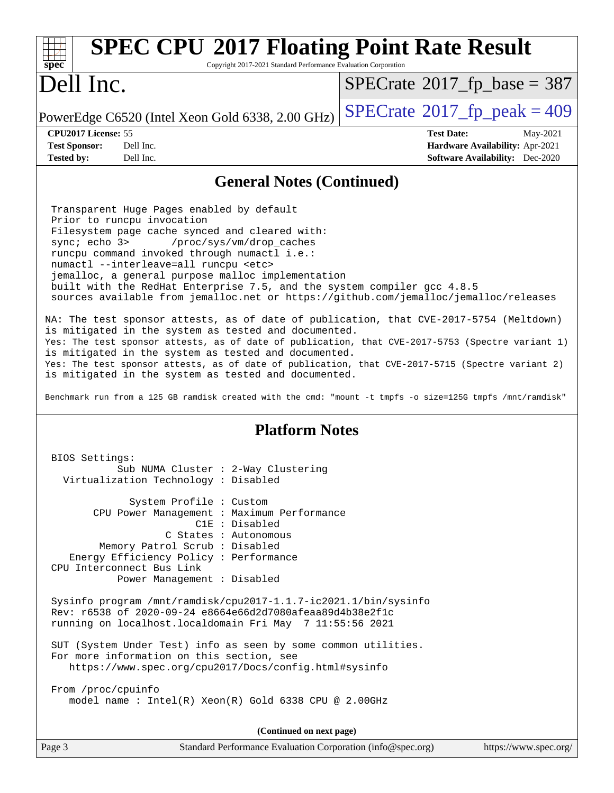| <b>SPEC CPU®2017 Floating Point Rate Result</b><br>Copyright 2017-2021 Standard Performance Evaluation Corporation<br>spec <sup>®</sup>                                                                                                                                                                                                                                                                                                                                                                                                                                                                                                                                                                                                                                                                                                                                                                                                                                                                                                                                                             |                                            |
|-----------------------------------------------------------------------------------------------------------------------------------------------------------------------------------------------------------------------------------------------------------------------------------------------------------------------------------------------------------------------------------------------------------------------------------------------------------------------------------------------------------------------------------------------------------------------------------------------------------------------------------------------------------------------------------------------------------------------------------------------------------------------------------------------------------------------------------------------------------------------------------------------------------------------------------------------------------------------------------------------------------------------------------------------------------------------------------------------------|--------------------------------------------|
| Dell Inc.                                                                                                                                                                                                                                                                                                                                                                                                                                                                                                                                                                                                                                                                                                                                                                                                                                                                                                                                                                                                                                                                                           | $SPECrate$ <sup>®</sup> 2017_fp_base = 387 |
| PowerEdge C6520 (Intel Xeon Gold 6338, 2.00 GHz)                                                                                                                                                                                                                                                                                                                                                                                                                                                                                                                                                                                                                                                                                                                                                                                                                                                                                                                                                                                                                                                    | $SPECTate$ <sup>®</sup> 2017_fp_peak = 409 |
| CPU2017 License: 55                                                                                                                                                                                                                                                                                                                                                                                                                                                                                                                                                                                                                                                                                                                                                                                                                                                                                                                                                                                                                                                                                 | <b>Test Date:</b><br>May-2021              |
| <b>Test Sponsor:</b><br>Dell Inc.                                                                                                                                                                                                                                                                                                                                                                                                                                                                                                                                                                                                                                                                                                                                                                                                                                                                                                                                                                                                                                                                   | Hardware Availability: Apr-2021            |
| Dell Inc.<br><b>Tested by:</b>                                                                                                                                                                                                                                                                                                                                                                                                                                                                                                                                                                                                                                                                                                                                                                                                                                                                                                                                                                                                                                                                      | <b>Software Availability:</b> Dec-2020     |
| <b>General Notes (Continued)</b>                                                                                                                                                                                                                                                                                                                                                                                                                                                                                                                                                                                                                                                                                                                                                                                                                                                                                                                                                                                                                                                                    |                                            |
| Transparent Huge Pages enabled by default<br>Prior to runcpu invocation<br>Filesystem page cache synced and cleared with:<br>sync $i$ echo $3$<br>/proc/sys/vm/drop_caches<br>runcpu command invoked through numactl i.e.:<br>numactl --interleave=all runcpu <etc><br/>jemalloc, a general purpose malloc implementation<br/>built with the RedHat Enterprise 7.5, and the system compiler gcc 4.8.5<br/>sources available from jemalloc.net or https://github.com/jemalloc/jemalloc/releases<br/>NA: The test sponsor attests, as of date of publication, that CVE-2017-5754 (Meltdown)<br/>is mitigated in the system as tested and documented.<br/>Yes: The test sponsor attests, as of date of publication, that CVE-2017-5753 (Spectre variant 1)<br/>is mitigated in the system as tested and documented.<br/>Yes: The test sponsor attests, as of date of publication, that CVE-2017-5715 (Spectre variant 2)<br/>is mitigated in the system as tested and documented.<br/>Benchmark run from a 125 GB ramdisk created with the cmd: "mount -t tmpfs -o size=125G tmpfs /mnt/ramdisk"</etc> |                                            |
| <b>Platform Notes</b>                                                                                                                                                                                                                                                                                                                                                                                                                                                                                                                                                                                                                                                                                                                                                                                                                                                                                                                                                                                                                                                                               |                                            |
| BIOS Settings:<br>Sub NUMA Cluster : 2-Way Clustering<br>Virtualization Technology : Disabled<br>System Profile : Custom<br>CPU Power Management : Maximum Performance<br>C1E : Disabled<br>C States : Autonomous<br>Memory Patrol Scrub : Disabled                                                                                                                                                                                                                                                                                                                                                                                                                                                                                                                                                                                                                                                                                                                                                                                                                                                 |                                            |
| Energy Efficiency Policy : Performance<br>CPU Interconnect Bus Link<br>Power Management : Disabled                                                                                                                                                                                                                                                                                                                                                                                                                                                                                                                                                                                                                                                                                                                                                                                                                                                                                                                                                                                                  |                                            |
| Sysinfo program /mnt/ramdisk/cpu2017-1.1.7-ic2021.1/bin/sysinfo<br>Rev: r6538 of 2020-09-24 e8664e66d2d7080afeaa89d4b38e2f1c<br>running on localhost.localdomain Fri May 7 11:55:56 2021                                                                                                                                                                                                                                                                                                                                                                                                                                                                                                                                                                                                                                                                                                                                                                                                                                                                                                            |                                            |
| SUT (System Under Test) info as seen by some common utilities.<br>For more information on this section, see<br>https://www.spec.org/cpu2017/Docs/config.html#sysinfo                                                                                                                                                                                                                                                                                                                                                                                                                                                                                                                                                                                                                                                                                                                                                                                                                                                                                                                                |                                            |
| From /proc/cpuinfo<br>model name : Intel(R) Xeon(R) Gold 6338 CPU @ 2.00GHz                                                                                                                                                                                                                                                                                                                                                                                                                                                                                                                                                                                                                                                                                                                                                                                                                                                                                                                                                                                                                         |                                            |
| (Continued on next page)                                                                                                                                                                                                                                                                                                                                                                                                                                                                                                                                                                                                                                                                                                                                                                                                                                                                                                                                                                                                                                                                            |                                            |
| Page 3<br>Standard Performance Evaluation Corporation (info@spec.org)                                                                                                                                                                                                                                                                                                                                                                                                                                                                                                                                                                                                                                                                                                                                                                                                                                                                                                                                                                                                                               | https://www.spec.org/                      |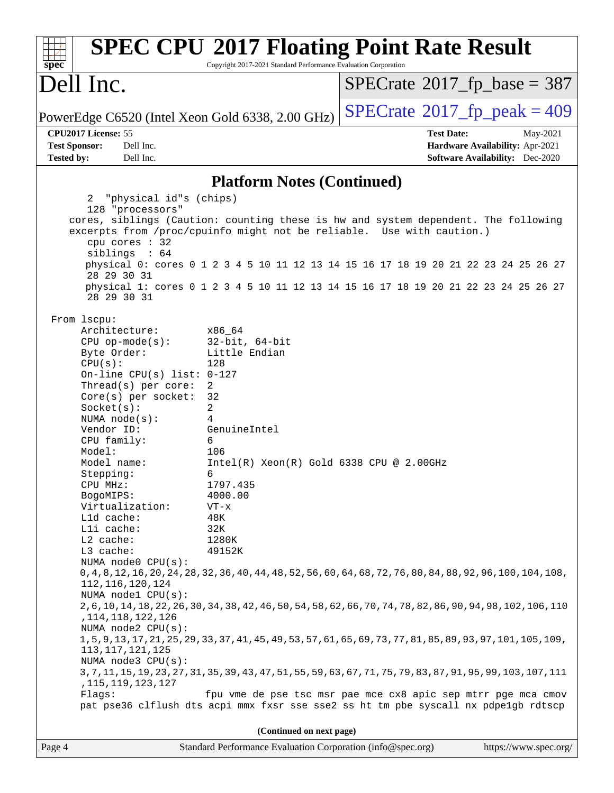| spec <sup>®</sup>                                                                                                                                                                                                                                                                                                                                                                                                                                                                                                                  | Copyright 2017-2021 Standard Performance Evaluation Corporation                                                                                                                                                              | <b>SPEC CPU®2017 Floating Point Rate Result</b>                                                                                                                                                                                                                                                                                                                                                                                              |
|------------------------------------------------------------------------------------------------------------------------------------------------------------------------------------------------------------------------------------------------------------------------------------------------------------------------------------------------------------------------------------------------------------------------------------------------------------------------------------------------------------------------------------|------------------------------------------------------------------------------------------------------------------------------------------------------------------------------------------------------------------------------|----------------------------------------------------------------------------------------------------------------------------------------------------------------------------------------------------------------------------------------------------------------------------------------------------------------------------------------------------------------------------------------------------------------------------------------------|
| Dell Inc.                                                                                                                                                                                                                                                                                                                                                                                                                                                                                                                          |                                                                                                                                                                                                                              | $SPECrate^{\circ}2017$ _fp_base = 387                                                                                                                                                                                                                                                                                                                                                                                                        |
|                                                                                                                                                                                                                                                                                                                                                                                                                                                                                                                                    | PowerEdge C6520 (Intel Xeon Gold 6338, 2.00 GHz)                                                                                                                                                                             | $SPECTate$ <sup>®</sup> 2017_fp_peak = 409                                                                                                                                                                                                                                                                                                                                                                                                   |
| CPU2017 License: 55                                                                                                                                                                                                                                                                                                                                                                                                                                                                                                                |                                                                                                                                                                                                                              | <b>Test Date:</b><br>May-2021                                                                                                                                                                                                                                                                                                                                                                                                                |
| <b>Test Sponsor:</b><br>Dell Inc.<br>Dell Inc.<br><b>Tested by:</b>                                                                                                                                                                                                                                                                                                                                                                                                                                                                |                                                                                                                                                                                                                              | Hardware Availability: Apr-2021<br><b>Software Availability:</b> Dec-2020                                                                                                                                                                                                                                                                                                                                                                    |
|                                                                                                                                                                                                                                                                                                                                                                                                                                                                                                                                    |                                                                                                                                                                                                                              |                                                                                                                                                                                                                                                                                                                                                                                                                                              |
|                                                                                                                                                                                                                                                                                                                                                                                                                                                                                                                                    | <b>Platform Notes (Continued)</b>                                                                                                                                                                                            |                                                                                                                                                                                                                                                                                                                                                                                                                                              |
| "physical id"s (chips)<br>2                                                                                                                                                                                                                                                                                                                                                                                                                                                                                                        |                                                                                                                                                                                                                              |                                                                                                                                                                                                                                                                                                                                                                                                                                              |
| 128 "processors"<br>cpu cores : 32<br>siblings : 64<br>28 29 30 31                                                                                                                                                                                                                                                                                                                                                                                                                                                                 | excerpts from /proc/cpuinfo might not be reliable. Use with caution.)                                                                                                                                                        | cores, siblings (Caution: counting these is hw and system dependent. The following<br>physical 0: cores 0 1 2 3 4 5 10 11 12 13 14 15 16 17 18 19 20 21 22 23 24 25 26 27                                                                                                                                                                                                                                                                    |
| 28 29 30 31                                                                                                                                                                                                                                                                                                                                                                                                                                                                                                                        |                                                                                                                                                                                                                              | physical 1: cores 0 1 2 3 4 5 10 11 12 13 14 15 16 17 18 19 20 21 22 23 24 25 26 27                                                                                                                                                                                                                                                                                                                                                          |
| From 1scpu:<br>Architecture:<br>$CPU op-mode(s):$<br>Byte Order:<br>CPU(s):<br>On-line CPU(s) list: $0-127$<br>Thread(s) per core:<br>$Core(s)$ per socket:<br>Socket(s):<br>NUMA $node(s):$<br>Vendor ID:<br>CPU family:<br>Model:<br>Model name:<br>Stepping:<br>CPU MHz:<br>BogoMIPS:<br>Virtualization:<br>L1d cache:<br>Lli cache:<br>L2 cache:<br>L3 cache:<br>NUMA node0 CPU(s):<br>112, 116, 120, 124<br>NUMA node1 CPU(s):<br>, 114, 118, 122, 126<br>NUMA $node2$ $CPU(s)$ :<br>113, 117, 121, 125<br>NUMA node3 CPU(s): | x86_64<br>$32$ -bit, $64$ -bit<br>Little Endian<br>128<br>2<br>32<br>2<br>4<br>GenuineIntel<br>6<br>106<br>Intel(R) Xeon(R) Gold 6338 CPU @ 2.00GHz<br>6<br>1797.435<br>4000.00<br>$VT - x$<br>48K<br>32K<br>1280K<br>49152K | 0, 4, 8, 12, 16, 20, 24, 28, 32, 36, 40, 44, 48, 52, 56, 60, 64, 68, 72, 76, 80, 84, 88, 92, 96, 100, 104, 108,<br>2, 6, 10, 14, 18, 22, 26, 30, 34, 38, 42, 46, 50, 54, 58, 62, 66, 70, 74, 78, 82, 86, 90, 94, 98, 102, 106, 110<br>1, 5, 9, 13, 17, 21, 25, 29, 33, 37, 41, 45, 49, 53, 57, 61, 65, 69, 73, 77, 81, 85, 89, 93, 97, 101, 105, 109<br>3,7,11,15,19,23,27,31,35,39,43,47,51,55,59,63,67,71,75,79,83,87,91,95,99,103,107,111 |
| , 115, 119, 123, 127<br>Flags:                                                                                                                                                                                                                                                                                                                                                                                                                                                                                                     |                                                                                                                                                                                                                              | fpu vme de pse tsc msr pae mce cx8 apic sep mtrr pge mca cmov<br>pat pse36 clflush dts acpi mmx fxsr sse sse2 ss ht tm pbe syscall nx pdpelgb rdtscp                                                                                                                                                                                                                                                                                         |
|                                                                                                                                                                                                                                                                                                                                                                                                                                                                                                                                    | (Continued on next page)                                                                                                                                                                                                     |                                                                                                                                                                                                                                                                                                                                                                                                                                              |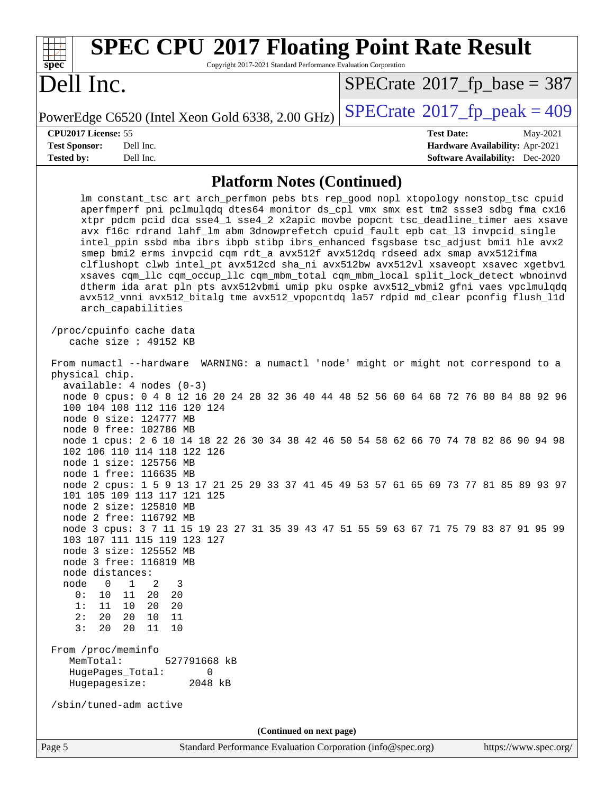| <b>SPEC CPU®2017 Floating Point Rate Result</b><br>Copyright 2017-2021 Standard Performance Evaluation Corporation<br>$spec^*$                                                                                                                                                                                                                                                                                                                                                                                                                                                                                                                                                                                                                                                                                                                                                                                                                                                                                                                                                                                                                       |                                                                                                            |  |  |  |  |
|------------------------------------------------------------------------------------------------------------------------------------------------------------------------------------------------------------------------------------------------------------------------------------------------------------------------------------------------------------------------------------------------------------------------------------------------------------------------------------------------------------------------------------------------------------------------------------------------------------------------------------------------------------------------------------------------------------------------------------------------------------------------------------------------------------------------------------------------------------------------------------------------------------------------------------------------------------------------------------------------------------------------------------------------------------------------------------------------------------------------------------------------------|------------------------------------------------------------------------------------------------------------|--|--|--|--|
| Dell Inc.                                                                                                                                                                                                                                                                                                                                                                                                                                                                                                                                                                                                                                                                                                                                                                                                                                                                                                                                                                                                                                                                                                                                            | $SPECTate$ <sup>®</sup> 2017_fp_base = 387                                                                 |  |  |  |  |
| PowerEdge C6520 (Intel Xeon Gold 6338, 2.00 GHz)                                                                                                                                                                                                                                                                                                                                                                                                                                                                                                                                                                                                                                                                                                                                                                                                                                                                                                                                                                                                                                                                                                     | $SPECrate$ <sup>®</sup> $2017$ _fp_peak = 409                                                              |  |  |  |  |
| CPU2017 License: 55<br>Dell Inc.<br><b>Test Sponsor:</b><br><b>Tested by:</b><br>Dell Inc.                                                                                                                                                                                                                                                                                                                                                                                                                                                                                                                                                                                                                                                                                                                                                                                                                                                                                                                                                                                                                                                           | <b>Test Date:</b><br>May-2021<br>Hardware Availability: Apr-2021<br><b>Software Availability:</b> Dec-2020 |  |  |  |  |
| <b>Platform Notes (Continued)</b>                                                                                                                                                                                                                                                                                                                                                                                                                                                                                                                                                                                                                                                                                                                                                                                                                                                                                                                                                                                                                                                                                                                    |                                                                                                            |  |  |  |  |
| Im constant_tsc art arch_perfmon pebs bts rep_good nopl xtopology nonstop_tsc cpuid<br>aperfmperf pni pclmulqdq dtes64 monitor ds_cpl vmx smx est tm2 ssse3 sdbg fma cx16<br>xtpr pdcm pcid dca sse4_1 sse4_2 x2apic movbe popcnt tsc_deadline_timer aes xsave<br>avx f16c rdrand lahf_lm abm 3dnowprefetch cpuid_fault epb cat_13 invpcid_single<br>intel_ppin ssbd mba ibrs ibpb stibp ibrs_enhanced fsgsbase tsc_adjust bmil hle avx2<br>smep bmi2 erms invpcid cqm rdt_a avx512f avx512dq rdseed adx smap avx512ifma<br>clflushopt clwb intel_pt avx512cd sha_ni avx512bw avx512vl xsaveopt xsavec xgetbvl<br>xsaves cqm_llc cqm_occup_llc cqm_mbm_total cqm_mbm_local split_lock_detect wbnoinvd<br>dtherm ida arat pln pts avx512vbmi umip pku ospke avx512_vbmi2 gfni vaes vpclmulqdq<br>avx512_vnni avx512_bitalg tme avx512_vpopcntdq la57 rdpid md_clear pconfig flush_l1d<br>arch_capabilities                                                                                                                                                                                                                                            |                                                                                                            |  |  |  |  |
| /proc/cpuinfo cache data<br>cache size : 49152 KB                                                                                                                                                                                                                                                                                                                                                                                                                                                                                                                                                                                                                                                                                                                                                                                                                                                                                                                                                                                                                                                                                                    |                                                                                                            |  |  |  |  |
| From numactl --hardware WARNING: a numactl 'node' might or might not correspond to a<br>physical chip.<br>$available: 4 nodes (0-3)$<br>node 0 cpus: 0 4 8 12 16 20 24 28 32 36 40 44 48 52 56 60 64 68 72 76 80 84 88 92 96<br>100 104 108 112 116 120 124<br>node 0 size: 124777 MB<br>node 0 free: 102786 MB<br>node 1 cpus: 2 6 10 14 18 22 26 30 34 38 42 46 50 54 58 62 66 70 74 78 82 86 90 94 98<br>102 106 110 114 118 122 126<br>node 1 size: 125756 MB<br>node 1 free: 116635 MB<br>node 2 cpus: 1 5 9 13 17 21 25 29 33 37 41 45 49 53 57 61 65 69 73 77 81 85 89 93 97<br>101 105 109 113 117 121 125<br>node 2 size: 125810 MB<br>node 2 free: 116792 MB<br>node 3 cpus: 3 7 11 15 19 23 27 31 35 39 43 47 51 55 59 63 67 71 75 79 83 87 91 95 99<br>103 107 111 115 119 123 127<br>node 3 size: 125552 MB<br>node 3 free: 116819 MB<br>node distances:<br>node<br>$\mathbf 0$<br>$\mathbf{1}$<br>2<br>3<br>0 :<br>10<br>11<br>20 20<br>1:<br>11<br>20<br>20<br>10<br>2:<br>20<br>20<br>10<br>11<br>3:<br>20<br>20<br>10<br>11<br>From /proc/meminfo<br>MemTotal:<br>527791668 kB<br>HugePages_Total:<br>0<br>Hugepagesize:<br>2048 kB |                                                                                                            |  |  |  |  |
| /sbin/tuned-adm active                                                                                                                                                                                                                                                                                                                                                                                                                                                                                                                                                                                                                                                                                                                                                                                                                                                                                                                                                                                                                                                                                                                               |                                                                                                            |  |  |  |  |
| (Continued on next page)<br>Page 5<br>Standard Performance Evaluation Corporation (info@spec.org)                                                                                                                                                                                                                                                                                                                                                                                                                                                                                                                                                                                                                                                                                                                                                                                                                                                                                                                                                                                                                                                    | https://www.spec.org/                                                                                      |  |  |  |  |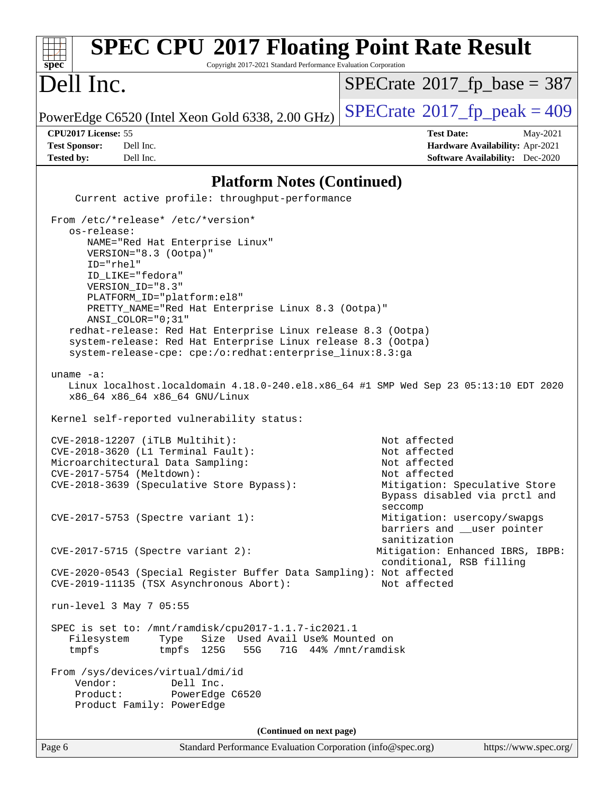#### Page 6 Standard Performance Evaluation Corporation [\(info@spec.org\)](mailto:info@spec.org) <https://www.spec.org/> **[spec](http://www.spec.org/) [SPEC CPU](http://www.spec.org/auto/cpu2017/Docs/result-fields.html#SPECCPU2017FloatingPointRateResult)[2017 Floating Point Rate Result](http://www.spec.org/auto/cpu2017/Docs/result-fields.html#SPECCPU2017FloatingPointRateResult)** Copyright 2017-2021 Standard Performance Evaluation Corporation Dell Inc. PowerEdge C6520 (Intel Xeon Gold 6338, 2.00 GHz)  $\left|$  [SPECrate](http://www.spec.org/auto/cpu2017/Docs/result-fields.html#SPECrate2017fppeak)<sup>®</sup>[2017\\_fp\\_peak = 4](http://www.spec.org/auto/cpu2017/Docs/result-fields.html#SPECrate2017fppeak)09  $SPECTate$ <sup>®</sup>[2017\\_fp\\_base =](http://www.spec.org/auto/cpu2017/Docs/result-fields.html#SPECrate2017fpbase) 387 **[CPU2017 License:](http://www.spec.org/auto/cpu2017/Docs/result-fields.html#CPU2017License)** 55 **[Test Date:](http://www.spec.org/auto/cpu2017/Docs/result-fields.html#TestDate)** May-2021 **[Test Sponsor:](http://www.spec.org/auto/cpu2017/Docs/result-fields.html#TestSponsor)** Dell Inc. **[Hardware Availability:](http://www.spec.org/auto/cpu2017/Docs/result-fields.html#HardwareAvailability)** Apr-2021 **[Tested by:](http://www.spec.org/auto/cpu2017/Docs/result-fields.html#Testedby)** Dell Inc. **[Software Availability:](http://www.spec.org/auto/cpu2017/Docs/result-fields.html#SoftwareAvailability)** Dec-2020 **[Platform Notes \(Continued\)](http://www.spec.org/auto/cpu2017/Docs/result-fields.html#PlatformNotes)** Current active profile: throughput-performance From /etc/\*release\* /etc/\*version\* os-release: NAME="Red Hat Enterprise Linux" VERSION="8.3 (Ootpa)" ID="rhel" ID\_LIKE="fedora" VERSION\_ID="8.3" PLATFORM\_ID="platform:el8" PRETTY\_NAME="Red Hat Enterprise Linux 8.3 (Ootpa)" ANSI\_COLOR="0;31" redhat-release: Red Hat Enterprise Linux release 8.3 (Ootpa) system-release: Red Hat Enterprise Linux release 8.3 (Ootpa) system-release-cpe: cpe:/o:redhat:enterprise\_linux:8.3:ga uname -a: Linux localhost.localdomain 4.18.0-240.el8.x86\_64 #1 SMP Wed Sep 23 05:13:10 EDT 2020 x86\_64 x86\_64 x86\_64 GNU/Linux Kernel self-reported vulnerability status: CVE-2018-12207 (iTLB Multihit): Not affected CVE-2018-3620 (L1 Terminal Fault): Not affected Microarchitectural Data Sampling: Not affected CVE-2017-5754 (Meltdown):<br>CVE-2018-3639 (Speculative Store Bypass): Not affected<br>Mitigation: Speculative Store CVE-2018-3639 (Speculative Store Bypass): Bypass disabled via prctl and seccompany and the contract of the contract of the contract of the second seconds of the seconds of the contract of the contract of the contract of the contract of the contract of the contract of the contract of the contra CVE-2017-5753 (Spectre variant 1): Mitigation: usercopy/swapgs barriers and \_\_user pointer sanitization CVE-2017-5715 (Spectre variant 2): Mitigation: Enhanced IBRS, IBPB: conditional, RSB filling CVE-2020-0543 (Special Register Buffer Data Sampling): Not affected CVE-2019-11135 (TSX Asynchronous Abort): Not affected run-level 3 May 7 05:55 SPEC is set to: /mnt/ramdisk/cpu2017-1.1.7-ic2021.1 Filesystem Type Size Used Avail Use% Mounted on tmpfs tmpfs 125G 55G 71G 44% /mnt/ramdisk From /sys/devices/virtual/dmi/id Vendor: Dell Inc. Product: PowerEdge C6520 Product Family: PowerEdge **(Continued on next page)**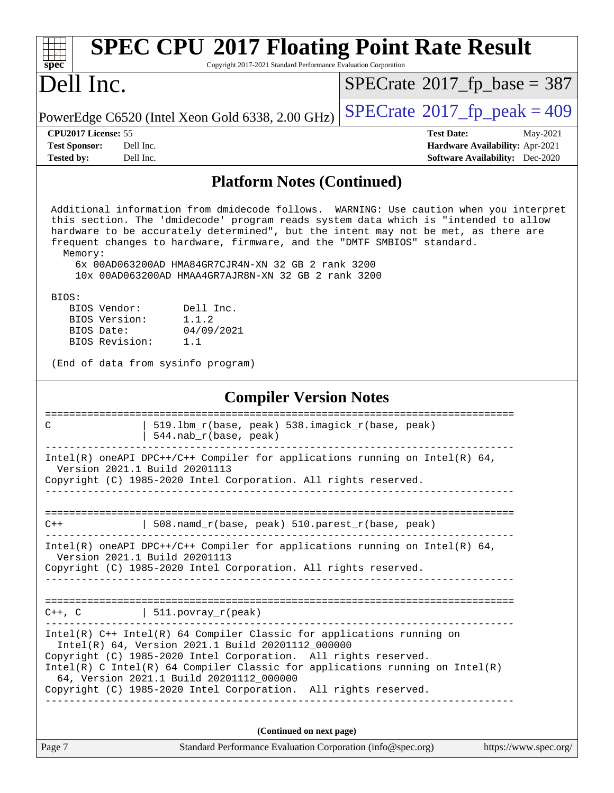| <b>SPEC CPU®2017 Floating Point Rate Result</b><br>spec<br>Copyright 2017-2021 Standard Performance Evaluation Corporation                                                                                                                                                                                                                                                                                                                                             |                                                                           |  |  |  |  |  |
|------------------------------------------------------------------------------------------------------------------------------------------------------------------------------------------------------------------------------------------------------------------------------------------------------------------------------------------------------------------------------------------------------------------------------------------------------------------------|---------------------------------------------------------------------------|--|--|--|--|--|
| Dell Inc.                                                                                                                                                                                                                                                                                                                                                                                                                                                              | $SPECrate^{\circ}2017$ _fp_base = 387                                     |  |  |  |  |  |
| PowerEdge C6520 (Intel Xeon Gold 6338, 2.00 GHz)                                                                                                                                                                                                                                                                                                                                                                                                                       | $SPECTate@2017_fp\_peak = 409$                                            |  |  |  |  |  |
| CPU2017 License: 55                                                                                                                                                                                                                                                                                                                                                                                                                                                    | <b>Test Date:</b><br>May-2021                                             |  |  |  |  |  |
| <b>Test Sponsor:</b><br>Dell Inc.<br><b>Tested by:</b><br>Dell Inc.                                                                                                                                                                                                                                                                                                                                                                                                    | Hardware Availability: Apr-2021<br><b>Software Availability:</b> Dec-2020 |  |  |  |  |  |
|                                                                                                                                                                                                                                                                                                                                                                                                                                                                        |                                                                           |  |  |  |  |  |
| <b>Platform Notes (Continued)</b>                                                                                                                                                                                                                                                                                                                                                                                                                                      |                                                                           |  |  |  |  |  |
| Additional information from dmidecode follows. WARNING: Use caution when you interpret<br>this section. The 'dmidecode' program reads system data which is "intended to allow<br>hardware to be accurately determined", but the intent may not be met, as there are<br>frequent changes to hardware, firmware, and the "DMTF SMBIOS" standard.<br>Memory:<br>6x 00AD063200AD HMA84GR7CJR4N-XN 32 GB 2 rank 3200<br>10x 00AD063200AD HMAA4GR7AJR8N-XN 32 GB 2 rank 3200 |                                                                           |  |  |  |  |  |
| BIOS:<br>BIOS Vendor:<br>Dell Inc.<br>BIOS Version:<br>1.1.2<br>BIOS Date:<br>04/09/2021<br>BIOS Revision:<br>1.1                                                                                                                                                                                                                                                                                                                                                      |                                                                           |  |  |  |  |  |
| (End of data from sysinfo program)                                                                                                                                                                                                                                                                                                                                                                                                                                     |                                                                           |  |  |  |  |  |
| <b>Compiler Version Notes</b>                                                                                                                                                                                                                                                                                                                                                                                                                                          |                                                                           |  |  |  |  |  |
| 519.1bm_r(base, peak) 538.imagick_r(base, peak)<br>C<br>544.nab_r(base, peak)                                                                                                                                                                                                                                                                                                                                                                                          |                                                                           |  |  |  |  |  |
| Intel(R) oneAPI DPC++/C++ Compiler for applications running on Intel(R) $64$ ,<br>Version 2021.1 Build 20201113<br>Copyright (C) 1985-2020 Intel Corporation. All rights reserved.                                                                                                                                                                                                                                                                                     |                                                                           |  |  |  |  |  |
| 508.namd_r(base, peak) 510.parest_r(base, peak)<br>$C++$                                                                                                                                                                                                                                                                                                                                                                                                               |                                                                           |  |  |  |  |  |
| Intel(R) oneAPI DPC++/C++ Compiler for applications running on Intel(R) $64$ ,<br>Version 2021.1 Build 20201113<br>Copyright (C) 1985-2020 Intel Corporation. All rights reserved.                                                                                                                                                                                                                                                                                     |                                                                           |  |  |  |  |  |
|                                                                                                                                                                                                                                                                                                                                                                                                                                                                        |                                                                           |  |  |  |  |  |
| $C++$ , $C$   511.povray_r(peak)                                                                                                                                                                                                                                                                                                                                                                                                                                       |                                                                           |  |  |  |  |  |
| $Intel(R)$ C++ Intel(R) 64 Compiler Classic for applications running on<br>Intel(R) 64, Version 2021.1 Build 20201112_000000<br>Copyright (C) 1985-2020 Intel Corporation. All rights reserved.<br>Intel(R) C Intel(R) 64 Compiler Classic for applications running on $Intel(R)$<br>64, Version 2021.1 Build 20201112_000000                                                                                                                                          |                                                                           |  |  |  |  |  |
| Copyright (C) 1985-2020 Intel Corporation. All rights reserved.                                                                                                                                                                                                                                                                                                                                                                                                        |                                                                           |  |  |  |  |  |
|                                                                                                                                                                                                                                                                                                                                                                                                                                                                        |                                                                           |  |  |  |  |  |
| (Continued on next page)                                                                                                                                                                                                                                                                                                                                                                                                                                               |                                                                           |  |  |  |  |  |
| Page 7<br>Standard Performance Evaluation Corporation (info@spec.org)                                                                                                                                                                                                                                                                                                                                                                                                  | https://www.spec.org/                                                     |  |  |  |  |  |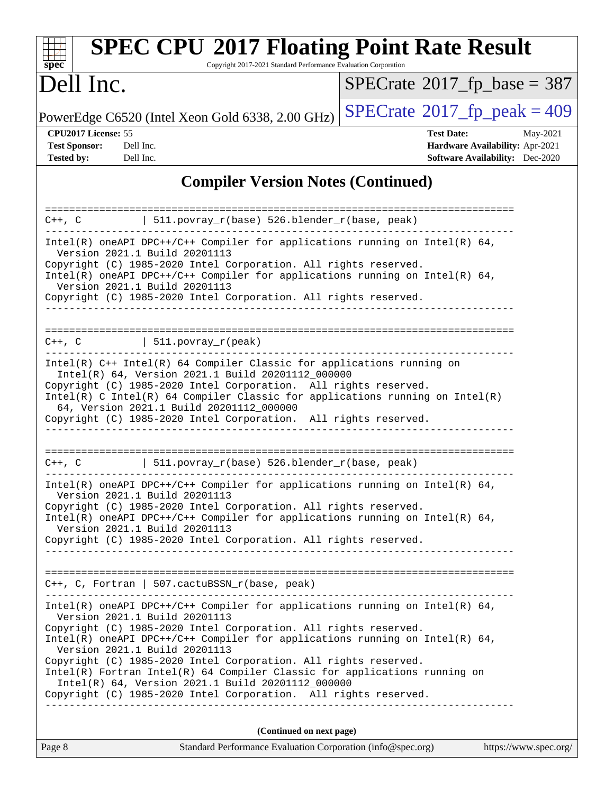| <b>SPEC CPU®2017 Floating Point Rate Result</b><br>Copyright 2017-2021 Standard Performance Evaluation Corporation<br>$spec^*$                                                                                                                                                                                                                                                                                                                                                                                                                                            |                                                                                                            |
|---------------------------------------------------------------------------------------------------------------------------------------------------------------------------------------------------------------------------------------------------------------------------------------------------------------------------------------------------------------------------------------------------------------------------------------------------------------------------------------------------------------------------------------------------------------------------|------------------------------------------------------------------------------------------------------------|
| Dell Inc.                                                                                                                                                                                                                                                                                                                                                                                                                                                                                                                                                                 | $SPECrate^{\circ}2017$ _fp_base = 387                                                                      |
| PowerEdge C6520 (Intel Xeon Gold 6338, 2.00 GHz)                                                                                                                                                                                                                                                                                                                                                                                                                                                                                                                          | $SPECTate@2017_fp\_peak = 409$                                                                             |
| CPU2017 License: 55<br><b>Test Sponsor:</b><br>Dell Inc.<br><b>Tested by:</b><br>Dell Inc.                                                                                                                                                                                                                                                                                                                                                                                                                                                                                | <b>Test Date:</b><br>May-2021<br>Hardware Availability: Apr-2021<br><b>Software Availability:</b> Dec-2020 |
| <b>Compiler Version Notes (Continued)</b>                                                                                                                                                                                                                                                                                                                                                                                                                                                                                                                                 |                                                                                                            |
| $511.povray_r(base) 526.blender_r(base, peak)$<br>$C++$ , $C$                                                                                                                                                                                                                                                                                                                                                                                                                                                                                                             |                                                                                                            |
| Intel(R) oneAPI DPC++/C++ Compiler for applications running on Intel(R) 64,<br>Version 2021.1 Build 20201113<br>Copyright (C) 1985-2020 Intel Corporation. All rights reserved.<br>Intel(R) oneAPI DPC++/C++ Compiler for applications running on Intel(R) 64,<br>Version 2021.1 Build 20201113<br>Copyright (C) 1985-2020 Intel Corporation. All rights reserved.                                                                                                                                                                                                        |                                                                                                            |
| $511. povray_r (peak)$<br>$C++$ , $C$                                                                                                                                                                                                                                                                                                                                                                                                                                                                                                                                     |                                                                                                            |
| Intel(R) C++ Intel(R) 64 Compiler Classic for applications running on<br>Intel(R) 64, Version 2021.1 Build 20201112_000000<br>Copyright (C) 1985-2020 Intel Corporation. All rights reserved.<br>Intel(R) C Intel(R) 64 Compiler Classic for applications running on Intel(R)<br>64, Version 2021.1 Build 20201112_000000<br>Copyright (C) 1985-2020 Intel Corporation. All rights reserved.                                                                                                                                                                              |                                                                                                            |
| 511.povray_r(base) 526.blender_r(base, peak)<br>$C++$ , $C$                                                                                                                                                                                                                                                                                                                                                                                                                                                                                                               |                                                                                                            |
| Intel(R) oneAPI DPC++/C++ Compiler for applications running on Intel(R) 64,<br>Version 2021.1 Build 20201113<br>Copyright (C) 1985-2020 Intel Corporation. All rights reserved.<br>Intel(R) oneAPI DPC++/C++ Compiler for applications running on Intel(R) $64$ ,<br>Version 2021.1 Build 20201113<br>Copyright (C) 1985-2020 Intel Corporation. All rights reserved.                                                                                                                                                                                                     |                                                                                                            |
| C++, C, Fortran   507.cactuBSSN_r(base, peak)<br>. _ _ _ _ _ _ _ _ _ _ _ _                                                                                                                                                                                                                                                                                                                                                                                                                                                                                                |                                                                                                            |
| $Intel(R)$ oneAPI DPC++/C++ Compiler for applications running on Intel(R) 64,<br>Version 2021.1 Build 20201113<br>Copyright (C) 1985-2020 Intel Corporation. All rights reserved.<br>Intel(R) oneAPI DPC++/C++ Compiler for applications running on Intel(R) 64,<br>Version 2021.1 Build 20201113<br>Copyright (C) 1985-2020 Intel Corporation. All rights reserved.<br>Intel(R) Fortran Intel(R) 64 Compiler Classic for applications running on<br>Intel(R) 64, Version 2021.1 Build 20201112_000000<br>Copyright (C) 1985-2020 Intel Corporation. All rights reserved. |                                                                                                            |
| (Continued on next page)                                                                                                                                                                                                                                                                                                                                                                                                                                                                                                                                                  |                                                                                                            |

Page 8 Standard Performance Evaluation Corporation [\(info@spec.org\)](mailto:info@spec.org) <https://www.spec.org/>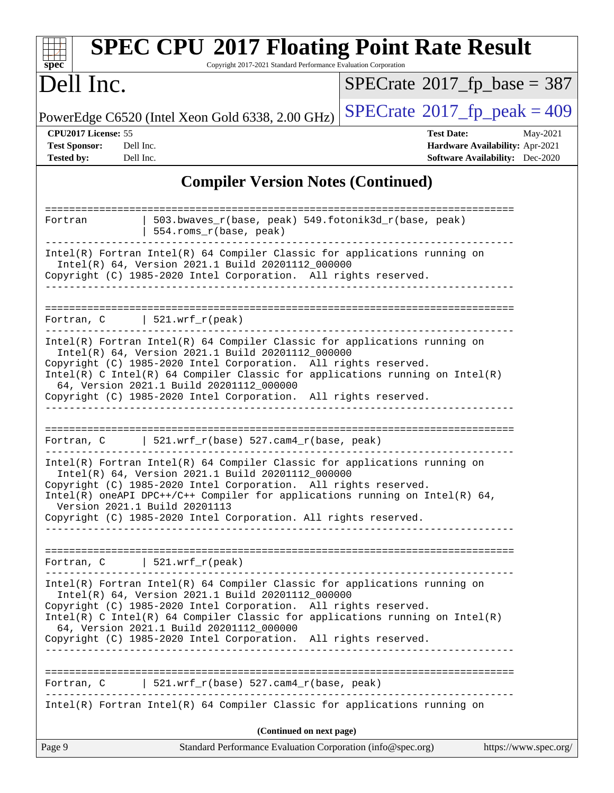| <b>SPEC CPU®2017 Floating Point Rate Result</b><br>Copyright 2017-2021 Standard Performance Evaluation Corporation<br>$spec^*$                                                                                                                                                                                                                                                                                                     |                                                                                                            |  |  |  |  |
|------------------------------------------------------------------------------------------------------------------------------------------------------------------------------------------------------------------------------------------------------------------------------------------------------------------------------------------------------------------------------------------------------------------------------------|------------------------------------------------------------------------------------------------------------|--|--|--|--|
| Dell Inc.                                                                                                                                                                                                                                                                                                                                                                                                                          | $SPECTate$ <sup>®</sup> 2017_fp_base = 387                                                                 |  |  |  |  |
| PowerEdge C6520 (Intel Xeon Gold 6338, 2.00 GHz)                                                                                                                                                                                                                                                                                                                                                                                   | $SPECTate$ <sup>®</sup> 2017_fp_peak = 409                                                                 |  |  |  |  |
| CPU2017 License: 55<br><b>Test Sponsor:</b><br>Dell Inc.<br>Tested by:<br>Dell Inc.                                                                                                                                                                                                                                                                                                                                                | <b>Test Date:</b><br>May-2021<br>Hardware Availability: Apr-2021<br><b>Software Availability:</b> Dec-2020 |  |  |  |  |
| <b>Compiler Version Notes (Continued)</b>                                                                                                                                                                                                                                                                                                                                                                                          |                                                                                                            |  |  |  |  |
| 503.bwaves_r(base, peak) 549.fotonik3d_r(base, peak)<br>Fortran<br>554.roms_r(base, peak)                                                                                                                                                                                                                                                                                                                                          |                                                                                                            |  |  |  |  |
| Intel(R) Fortran Intel(R) 64 Compiler Classic for applications running on<br>Intel(R) 64, Version 2021.1 Build 20201112_000000<br>Copyright (C) 1985-2020 Intel Corporation. All rights reserved.                                                                                                                                                                                                                                  |                                                                                                            |  |  |  |  |
| Fortran, $C$   521.wrf_r(peak)                                                                                                                                                                                                                                                                                                                                                                                                     |                                                                                                            |  |  |  |  |
| Intel(R) Fortran Intel(R) 64 Compiler Classic for applications running on<br>Intel(R) 64, Version 2021.1 Build 20201112_000000<br>Copyright (C) 1985-2020 Intel Corporation. All rights reserved.<br>$Intel(R)$ C Intel(R) 64 Compiler Classic for applications running on Intel(R)<br>64, Version 2021.1 Build 20201112_000000<br>Copyright (C) 1985-2020 Intel Corporation. All rights reserved.                                 |                                                                                                            |  |  |  |  |
| Fortran, C 521.wrf_r(base) 527.cam4_r(base, peak)                                                                                                                                                                                                                                                                                                                                                                                  |                                                                                                            |  |  |  |  |
| Intel(R) Fortran Intel(R) 64 Compiler Classic for applications running on<br>Intel(R) 64, Version 2021.1 Build 20201112_000000<br>Copyright (C) 1985-2020 Intel Corporation. All rights reserved<br>Intel(R) oneAPI DPC++/C++ Compiler for applications running on Intel(R) $64$ ,<br>Version 2021.1 Build 20201113<br>Copyright (C) 1985-2020 Intel Corporation. All rights reserved.                                             |                                                                                                            |  |  |  |  |
| Fortran, $C$   521.wrf_r(peak)                                                                                                                                                                                                                                                                                                                                                                                                     |                                                                                                            |  |  |  |  |
| Intel(R) Fortran Intel(R) 64 Compiler Classic for applications running on<br>Intel(R) 64, Version 2021.1 Build 20201112_000000<br>Copyright (C) 1985-2020 Intel Corporation. All rights reserved.<br>$Intel(R)$ C Intel(R) 64 Compiler Classic for applications running on Intel(R)<br>64, Version 2021.1 Build 20201112_000000<br>Copyright (C) 1985-2020 Intel Corporation. All rights reserved.<br>---------------------------- |                                                                                                            |  |  |  |  |
| Fortran, C 521.wrf_r(base) 527.cam4_r(base, peak)<br>Intel(R) Fortran Intel(R) 64 Compiler Classic for applications running on                                                                                                                                                                                                                                                                                                     |                                                                                                            |  |  |  |  |
| (Continued on next page)                                                                                                                                                                                                                                                                                                                                                                                                           |                                                                                                            |  |  |  |  |
| Page 9<br>Standard Performance Evaluation Corporation (info@spec.org)                                                                                                                                                                                                                                                                                                                                                              | https://www.spec.org/                                                                                      |  |  |  |  |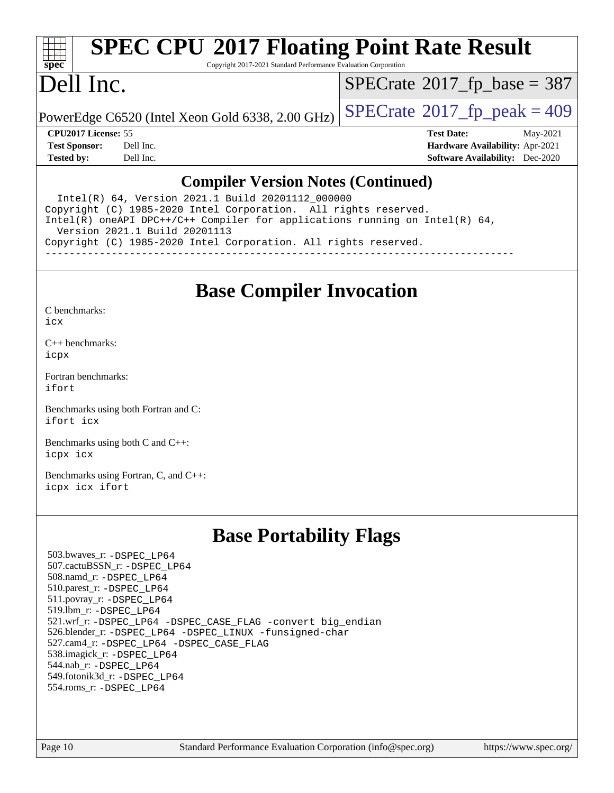

# **[SPEC CPU](http://www.spec.org/auto/cpu2017/Docs/result-fields.html#SPECCPU2017FloatingPointRateResult)[2017 Floating Point Rate Result](http://www.spec.org/auto/cpu2017/Docs/result-fields.html#SPECCPU2017FloatingPointRateResult)**

Copyright 2017-2021 Standard Performance Evaluation Corporation

# Dell Inc.

 $SPECTate$ <sup>®</sup>[2017\\_fp\\_base =](http://www.spec.org/auto/cpu2017/Docs/result-fields.html#SPECrate2017fpbase) 387

PowerEdge C6520 (Intel Xeon Gold 6338, 2.00 GHz)  $\vert$  [SPECrate](http://www.spec.org/auto/cpu2017/Docs/result-fields.html#SPECrate2017fppeak)®[2017\\_fp\\_peak = 4](http://www.spec.org/auto/cpu2017/Docs/result-fields.html#SPECrate2017fppeak)09

**[CPU2017 License:](http://www.spec.org/auto/cpu2017/Docs/result-fields.html#CPU2017License)** 55 **[Test Date:](http://www.spec.org/auto/cpu2017/Docs/result-fields.html#TestDate)** May-2021 **[Test Sponsor:](http://www.spec.org/auto/cpu2017/Docs/result-fields.html#TestSponsor)** Dell Inc. **[Hardware Availability:](http://www.spec.org/auto/cpu2017/Docs/result-fields.html#HardwareAvailability)** Apr-2021 **[Tested by:](http://www.spec.org/auto/cpu2017/Docs/result-fields.html#Testedby)** Dell Inc. **[Software Availability:](http://www.spec.org/auto/cpu2017/Docs/result-fields.html#SoftwareAvailability)** Dec-2020

### **[Compiler Version Notes \(Continued\)](http://www.spec.org/auto/cpu2017/Docs/result-fields.html#CompilerVersionNotes)**

 Intel(R) 64, Version 2021.1 Build 20201112\_000000 Copyright (C) 1985-2020 Intel Corporation. All rights reserved. Intel(R) oneAPI DPC++/C++ Compiler for applications running on Intel(R) 64, Version 2021.1 Build 20201113 Copyright (C) 1985-2020 Intel Corporation. All rights reserved. ------------------------------------------------------------------------------

**[Base Compiler Invocation](http://www.spec.org/auto/cpu2017/Docs/result-fields.html#BaseCompilerInvocation)**

[C benchmarks](http://www.spec.org/auto/cpu2017/Docs/result-fields.html#Cbenchmarks): [icx](http://www.spec.org/cpu2017/results/res2021q2/cpu2017-20210510-26153.flags.html#user_CCbase_intel_icx_fe2d28d19ae2a5db7c42fe0f2a2aed77cb715edd4aeb23434404a8be6683fe239869bb6ca8154ca98265c2e3b9226a719a0efe2953a4a7018c379b7010ccf087)

[C++ benchmarks:](http://www.spec.org/auto/cpu2017/Docs/result-fields.html#CXXbenchmarks) [icpx](http://www.spec.org/cpu2017/results/res2021q2/cpu2017-20210510-26153.flags.html#user_CXXbase_intel_icpx_1e918ed14c436bf4b9b7c8bcdd51d4539fc71b3df010bd1e9f8732d9c34c2b2914e48204a846820f3c0ebb4095dea797a5c30b458ac0b6dffac65d78f781f5ca)

[Fortran benchmarks](http://www.spec.org/auto/cpu2017/Docs/result-fields.html#Fortranbenchmarks): [ifort](http://www.spec.org/cpu2017/results/res2021q2/cpu2017-20210510-26153.flags.html#user_FCbase_intel_ifort_8111460550e3ca792625aed983ce982f94888b8b503583aa7ba2b8303487b4d8a21a13e7191a45c5fd58ff318f48f9492884d4413fa793fd88dd292cad7027ca)

[Benchmarks using both Fortran and C](http://www.spec.org/auto/cpu2017/Docs/result-fields.html#BenchmarksusingbothFortranandC): [ifort](http://www.spec.org/cpu2017/results/res2021q2/cpu2017-20210510-26153.flags.html#user_CC_FCbase_intel_ifort_8111460550e3ca792625aed983ce982f94888b8b503583aa7ba2b8303487b4d8a21a13e7191a45c5fd58ff318f48f9492884d4413fa793fd88dd292cad7027ca) [icx](http://www.spec.org/cpu2017/results/res2021q2/cpu2017-20210510-26153.flags.html#user_CC_FCbase_intel_icx_fe2d28d19ae2a5db7c42fe0f2a2aed77cb715edd4aeb23434404a8be6683fe239869bb6ca8154ca98265c2e3b9226a719a0efe2953a4a7018c379b7010ccf087)

[Benchmarks using both C and C++](http://www.spec.org/auto/cpu2017/Docs/result-fields.html#BenchmarksusingbothCandCXX): [icpx](http://www.spec.org/cpu2017/results/res2021q2/cpu2017-20210510-26153.flags.html#user_CC_CXXbase_intel_icpx_1e918ed14c436bf4b9b7c8bcdd51d4539fc71b3df010bd1e9f8732d9c34c2b2914e48204a846820f3c0ebb4095dea797a5c30b458ac0b6dffac65d78f781f5ca) [icx](http://www.spec.org/cpu2017/results/res2021q2/cpu2017-20210510-26153.flags.html#user_CC_CXXbase_intel_icx_fe2d28d19ae2a5db7c42fe0f2a2aed77cb715edd4aeb23434404a8be6683fe239869bb6ca8154ca98265c2e3b9226a719a0efe2953a4a7018c379b7010ccf087)

[Benchmarks using Fortran, C, and C++:](http://www.spec.org/auto/cpu2017/Docs/result-fields.html#BenchmarksusingFortranCandCXX) [icpx](http://www.spec.org/cpu2017/results/res2021q2/cpu2017-20210510-26153.flags.html#user_CC_CXX_FCbase_intel_icpx_1e918ed14c436bf4b9b7c8bcdd51d4539fc71b3df010bd1e9f8732d9c34c2b2914e48204a846820f3c0ebb4095dea797a5c30b458ac0b6dffac65d78f781f5ca) [icx](http://www.spec.org/cpu2017/results/res2021q2/cpu2017-20210510-26153.flags.html#user_CC_CXX_FCbase_intel_icx_fe2d28d19ae2a5db7c42fe0f2a2aed77cb715edd4aeb23434404a8be6683fe239869bb6ca8154ca98265c2e3b9226a719a0efe2953a4a7018c379b7010ccf087) [ifort](http://www.spec.org/cpu2017/results/res2021q2/cpu2017-20210510-26153.flags.html#user_CC_CXX_FCbase_intel_ifort_8111460550e3ca792625aed983ce982f94888b8b503583aa7ba2b8303487b4d8a21a13e7191a45c5fd58ff318f48f9492884d4413fa793fd88dd292cad7027ca)

## **[Base Portability Flags](http://www.spec.org/auto/cpu2017/Docs/result-fields.html#BasePortabilityFlags)**

 503.bwaves\_r: [-DSPEC\\_LP64](http://www.spec.org/cpu2017/results/res2021q2/cpu2017-20210510-26153.flags.html#suite_basePORTABILITY503_bwaves_r_DSPEC_LP64) 507.cactuBSSN\_r: [-DSPEC\\_LP64](http://www.spec.org/cpu2017/results/res2021q2/cpu2017-20210510-26153.flags.html#suite_basePORTABILITY507_cactuBSSN_r_DSPEC_LP64) 508.namd\_r: [-DSPEC\\_LP64](http://www.spec.org/cpu2017/results/res2021q2/cpu2017-20210510-26153.flags.html#suite_basePORTABILITY508_namd_r_DSPEC_LP64) 510.parest\_r: [-DSPEC\\_LP64](http://www.spec.org/cpu2017/results/res2021q2/cpu2017-20210510-26153.flags.html#suite_basePORTABILITY510_parest_r_DSPEC_LP64) 511.povray\_r: [-DSPEC\\_LP64](http://www.spec.org/cpu2017/results/res2021q2/cpu2017-20210510-26153.flags.html#suite_basePORTABILITY511_povray_r_DSPEC_LP64) 519.lbm\_r: [-DSPEC\\_LP64](http://www.spec.org/cpu2017/results/res2021q2/cpu2017-20210510-26153.flags.html#suite_basePORTABILITY519_lbm_r_DSPEC_LP64) 521.wrf\_r: [-DSPEC\\_LP64](http://www.spec.org/cpu2017/results/res2021q2/cpu2017-20210510-26153.flags.html#suite_basePORTABILITY521_wrf_r_DSPEC_LP64) [-DSPEC\\_CASE\\_FLAG](http://www.spec.org/cpu2017/results/res2021q2/cpu2017-20210510-26153.flags.html#b521.wrf_r_baseCPORTABILITY_DSPEC_CASE_FLAG) [-convert big\\_endian](http://www.spec.org/cpu2017/results/res2021q2/cpu2017-20210510-26153.flags.html#user_baseFPORTABILITY521_wrf_r_convert_big_endian_c3194028bc08c63ac5d04de18c48ce6d347e4e562e8892b8bdbdc0214820426deb8554edfa529a3fb25a586e65a3d812c835984020483e7e73212c4d31a38223) 526.blender\_r: [-DSPEC\\_LP64](http://www.spec.org/cpu2017/results/res2021q2/cpu2017-20210510-26153.flags.html#suite_basePORTABILITY526_blender_r_DSPEC_LP64) [-DSPEC\\_LINUX](http://www.spec.org/cpu2017/results/res2021q2/cpu2017-20210510-26153.flags.html#b526.blender_r_baseCPORTABILITY_DSPEC_LINUX) [-funsigned-char](http://www.spec.org/cpu2017/results/res2021q2/cpu2017-20210510-26153.flags.html#user_baseCPORTABILITY526_blender_r_force_uchar_40c60f00ab013830e2dd6774aeded3ff59883ba5a1fc5fc14077f794d777847726e2a5858cbc7672e36e1b067e7e5c1d9a74f7176df07886a243d7cc18edfe67) 527.cam4\_r: [-DSPEC\\_LP64](http://www.spec.org/cpu2017/results/res2021q2/cpu2017-20210510-26153.flags.html#suite_basePORTABILITY527_cam4_r_DSPEC_LP64) [-DSPEC\\_CASE\\_FLAG](http://www.spec.org/cpu2017/results/res2021q2/cpu2017-20210510-26153.flags.html#b527.cam4_r_baseCPORTABILITY_DSPEC_CASE_FLAG) 538.imagick\_r: [-DSPEC\\_LP64](http://www.spec.org/cpu2017/results/res2021q2/cpu2017-20210510-26153.flags.html#suite_basePORTABILITY538_imagick_r_DSPEC_LP64) 544.nab\_r: [-DSPEC\\_LP64](http://www.spec.org/cpu2017/results/res2021q2/cpu2017-20210510-26153.flags.html#suite_basePORTABILITY544_nab_r_DSPEC_LP64) 549.fotonik3d\_r: [-DSPEC\\_LP64](http://www.spec.org/cpu2017/results/res2021q2/cpu2017-20210510-26153.flags.html#suite_basePORTABILITY549_fotonik3d_r_DSPEC_LP64) 554.roms\_r: [-DSPEC\\_LP64](http://www.spec.org/cpu2017/results/res2021q2/cpu2017-20210510-26153.flags.html#suite_basePORTABILITY554_roms_r_DSPEC_LP64)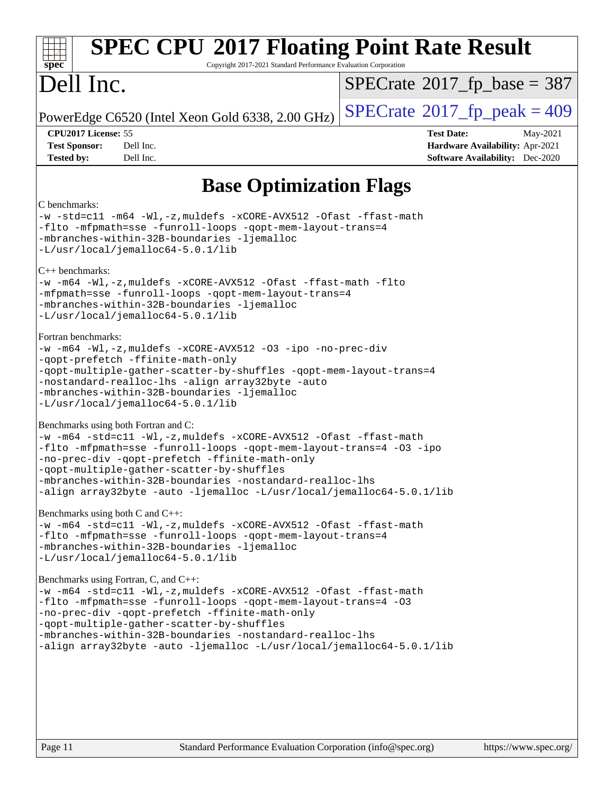| <b>SPEC CPU®2017 Floating Point Rate Result</b><br>Copyright 2017-2021 Standard Performance Evaluation Corporation<br>spec <sup>®</sup>                                                                                                                                                                                                                                                                              |                                                                                                            |  |  |  |  |  |
|----------------------------------------------------------------------------------------------------------------------------------------------------------------------------------------------------------------------------------------------------------------------------------------------------------------------------------------------------------------------------------------------------------------------|------------------------------------------------------------------------------------------------------------|--|--|--|--|--|
| Dell Inc.                                                                                                                                                                                                                                                                                                                                                                                                            | $SPECrate^{\circ}2017$ fp base = 387                                                                       |  |  |  |  |  |
| PowerEdge C6520 (Intel Xeon Gold 6338, 2.00 GHz)                                                                                                                                                                                                                                                                                                                                                                     | $SPECrate@2017_fp\_peak = 409$                                                                             |  |  |  |  |  |
| CPU2017 License: 55<br><b>Test Sponsor:</b><br>Dell Inc.<br>Dell Inc.<br><b>Tested by:</b>                                                                                                                                                                                                                                                                                                                           | <b>Test Date:</b><br>May-2021<br>Hardware Availability: Apr-2021<br><b>Software Availability:</b> Dec-2020 |  |  |  |  |  |
| <b>Base Optimization Flags</b>                                                                                                                                                                                                                                                                                                                                                                                       |                                                                                                            |  |  |  |  |  |
| C benchmarks:<br>-w -std=c11 -m64 -Wl,-z, muldefs -xCORE-AVX512 -Ofast -ffast-math<br>-flto -mfpmath=sse -funroll-loops -qopt-mem-layout-trans=4<br>-mbranches-within-32B-boundaries -ljemalloc<br>$-L/usr/local/jemalloc64-5.0.1/lib$<br>$C_{++}$ benchmarks:<br>-w -m64 -Wl,-z, muldefs -xCORE-AVX512 -Ofast -ffast-math -flto                                                                                     |                                                                                                            |  |  |  |  |  |
| -mfpmath=sse -funroll-loops -qopt-mem-layout-trans=4<br>-mbranches-within-32B-boundaries -ljemalloc<br>-L/usr/local/jemalloc64-5.0.1/lib                                                                                                                                                                                                                                                                             |                                                                                                            |  |  |  |  |  |
| Fortran benchmarks:<br>$-w$ -m64 -Wl,-z, muldefs -xCORE-AVX512 -O3 -ipo -no-prec-div<br>-qopt-prefetch -ffinite-math-only<br>-qopt-multiple-gather-scatter-by-shuffles -qopt-mem-layout-trans=4<br>-nostandard-realloc-lhs -align array32byte -auto<br>-mbranches-within-32B-boundaries -ljemalloc<br>-L/usr/local/jemalloc64-5.0.1/lib                                                                              |                                                                                                            |  |  |  |  |  |
| Benchmarks using both Fortran and C:<br>-w -m64 -std=c11 -Wl,-z, muldefs -xCORE-AVX512 -Ofast -ffast-math<br>-flto -mfpmath=sse -funroll-loops -qopt-mem-layout-trans=4 -03 -ipo<br>-no-prec-div -qopt-prefetch -ffinite-math-only<br>-qopt-multiple-gather-scatter-by-shuffles<br>-mbranches-within-32B-boundaries -nostandard-realloc-lhs<br>-align array32byte -auto -ljemalloc -L/usr/local/jemalloc64-5.0.1/lib |                                                                                                            |  |  |  |  |  |
| Benchmarks using both C and C++:<br>-w -m64 -std=c11 -Wl,-z, muldefs -xCORE-AVX512 -Ofast -ffast-math<br>-flto -mfpmath=sse -funroll-loops -qopt-mem-layout-trans=4<br>-mbranches-within-32B-boundaries -ljemalloc<br>-L/usr/local/jemalloc64-5.0.1/lib                                                                                                                                                              |                                                                                                            |  |  |  |  |  |
| Benchmarks using Fortran, C, and C++:<br>-w -m64 -std=c11 -Wl,-z, muldefs -xCORE-AVX512 -Ofast -ffast-math<br>-flto -mfpmath=sse -funroll-loops -qopt-mem-layout-trans=4 -03<br>-no-prec-div -qopt-prefetch -ffinite-math-only<br>-qopt-multiple-gather-scatter-by-shuffles<br>-mbranches-within-32B-boundaries -nostandard-realloc-lhs<br>-align array32byte -auto -ljemalloc -L/usr/local/jemalloc64-5.0.1/lib     |                                                                                                            |  |  |  |  |  |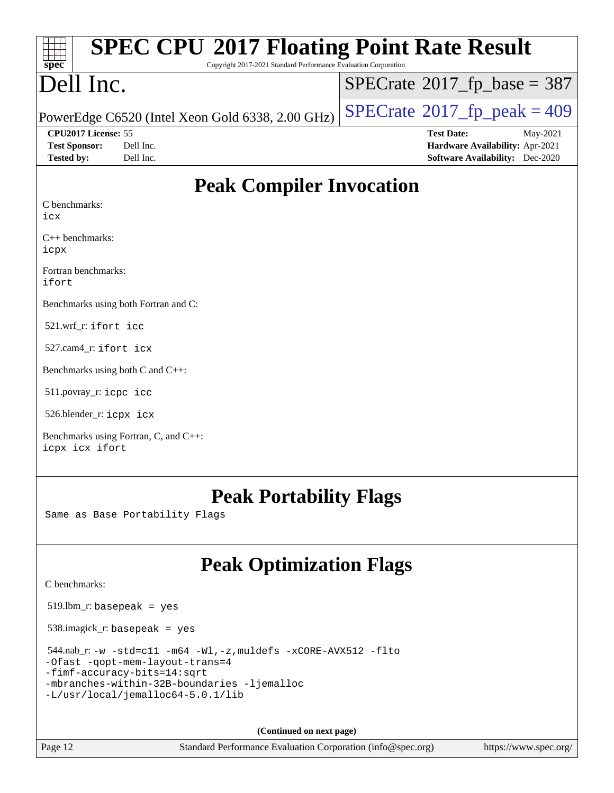| spec |  |  |  |  |  |  |
|------|--|--|--|--|--|--|

# **[SPEC CPU](http://www.spec.org/auto/cpu2017/Docs/result-fields.html#SPECCPU2017FloatingPointRateResult)[2017 Floating Point Rate Result](http://www.spec.org/auto/cpu2017/Docs/result-fields.html#SPECCPU2017FloatingPointRateResult)**

Copyright 2017-2021 Standard Performance Evaluation Corporation

# Dell Inc.

 $SPECTate$ <sup>®</sup>[2017\\_fp\\_base =](http://www.spec.org/auto/cpu2017/Docs/result-fields.html#SPECrate2017fpbase) 387

PowerEdge C6520 (Intel Xeon Gold 6338, 2.00 GHz)  $\vert$  [SPECrate](http://www.spec.org/auto/cpu2017/Docs/result-fields.html#SPECrate2017fppeak)®[2017\\_fp\\_peak = 4](http://www.spec.org/auto/cpu2017/Docs/result-fields.html#SPECrate2017fppeak)09

**[CPU2017 License:](http://www.spec.org/auto/cpu2017/Docs/result-fields.html#CPU2017License)** 55 **[Test Date:](http://www.spec.org/auto/cpu2017/Docs/result-fields.html#TestDate)** May-2021

**[Test Sponsor:](http://www.spec.org/auto/cpu2017/Docs/result-fields.html#TestSponsor)** Dell Inc. **[Hardware Availability:](http://www.spec.org/auto/cpu2017/Docs/result-fields.html#HardwareAvailability)** Apr-2021 **[Tested by:](http://www.spec.org/auto/cpu2017/Docs/result-fields.html#Testedby)** Dell Inc. **[Software Availability:](http://www.spec.org/auto/cpu2017/Docs/result-fields.html#SoftwareAvailability)** Dec-2020

## **[Peak Compiler Invocation](http://www.spec.org/auto/cpu2017/Docs/result-fields.html#PeakCompilerInvocation)**

[C benchmarks:](http://www.spec.org/auto/cpu2017/Docs/result-fields.html#Cbenchmarks)

[icx](http://www.spec.org/cpu2017/results/res2021q2/cpu2017-20210510-26153.flags.html#user_CCpeak_intel_icx_fe2d28d19ae2a5db7c42fe0f2a2aed77cb715edd4aeb23434404a8be6683fe239869bb6ca8154ca98265c2e3b9226a719a0efe2953a4a7018c379b7010ccf087)

[C++ benchmarks](http://www.spec.org/auto/cpu2017/Docs/result-fields.html#CXXbenchmarks): [icpx](http://www.spec.org/cpu2017/results/res2021q2/cpu2017-20210510-26153.flags.html#user_CXXpeak_intel_icpx_1e918ed14c436bf4b9b7c8bcdd51d4539fc71b3df010bd1e9f8732d9c34c2b2914e48204a846820f3c0ebb4095dea797a5c30b458ac0b6dffac65d78f781f5ca)

[Fortran benchmarks:](http://www.spec.org/auto/cpu2017/Docs/result-fields.html#Fortranbenchmarks) [ifort](http://www.spec.org/cpu2017/results/res2021q2/cpu2017-20210510-26153.flags.html#user_FCpeak_intel_ifort_8111460550e3ca792625aed983ce982f94888b8b503583aa7ba2b8303487b4d8a21a13e7191a45c5fd58ff318f48f9492884d4413fa793fd88dd292cad7027ca)

[Benchmarks using both Fortran and C:](http://www.spec.org/auto/cpu2017/Docs/result-fields.html#BenchmarksusingbothFortranandC)

521.wrf\_r: [ifort](http://www.spec.org/cpu2017/results/res2021q2/cpu2017-20210510-26153.flags.html#user_peakFCLD521_wrf_r_intel_ifort_8111460550e3ca792625aed983ce982f94888b8b503583aa7ba2b8303487b4d8a21a13e7191a45c5fd58ff318f48f9492884d4413fa793fd88dd292cad7027ca) [icc](http://www.spec.org/cpu2017/results/res2021q2/cpu2017-20210510-26153.flags.html#user_peakCC521_wrf_r_intel_icc_66fc1ee009f7361af1fbd72ca7dcefbb700085f36577c54f309893dd4ec40d12360134090235512931783d35fd58c0460139e722d5067c5574d8eaf2b3e37e92)

527.cam4\_r: [ifort](http://www.spec.org/cpu2017/results/res2021q2/cpu2017-20210510-26153.flags.html#user_peakFCLD527_cam4_r_intel_ifort_8111460550e3ca792625aed983ce982f94888b8b503583aa7ba2b8303487b4d8a21a13e7191a45c5fd58ff318f48f9492884d4413fa793fd88dd292cad7027ca) [icx](http://www.spec.org/cpu2017/results/res2021q2/cpu2017-20210510-26153.flags.html#user_peakCC527_cam4_r_intel_icx_fe2d28d19ae2a5db7c42fe0f2a2aed77cb715edd4aeb23434404a8be6683fe239869bb6ca8154ca98265c2e3b9226a719a0efe2953a4a7018c379b7010ccf087)

[Benchmarks using both C and C++](http://www.spec.org/auto/cpu2017/Docs/result-fields.html#BenchmarksusingbothCandCXX):

511.povray\_r: [icpc](http://www.spec.org/cpu2017/results/res2021q2/cpu2017-20210510-26153.flags.html#user_peakCXXLD511_povray_r_intel_icpc_c510b6838c7f56d33e37e94d029a35b4a7bccf4766a728ee175e80a419847e808290a9b78be685c44ab727ea267ec2f070ec5dc83b407c0218cded6866a35d07) [icc](http://www.spec.org/cpu2017/results/res2021q2/cpu2017-20210510-26153.flags.html#user_peakCC511_povray_r_intel_icc_66fc1ee009f7361af1fbd72ca7dcefbb700085f36577c54f309893dd4ec40d12360134090235512931783d35fd58c0460139e722d5067c5574d8eaf2b3e37e92)

526.blender\_r: [icpx](http://www.spec.org/cpu2017/results/res2021q2/cpu2017-20210510-26153.flags.html#user_peakCXXLD526_blender_r_intel_icpx_1e918ed14c436bf4b9b7c8bcdd51d4539fc71b3df010bd1e9f8732d9c34c2b2914e48204a846820f3c0ebb4095dea797a5c30b458ac0b6dffac65d78f781f5ca) [icx](http://www.spec.org/cpu2017/results/res2021q2/cpu2017-20210510-26153.flags.html#user_peakCC526_blender_r_intel_icx_fe2d28d19ae2a5db7c42fe0f2a2aed77cb715edd4aeb23434404a8be6683fe239869bb6ca8154ca98265c2e3b9226a719a0efe2953a4a7018c379b7010ccf087)

[Benchmarks using Fortran, C, and C++](http://www.spec.org/auto/cpu2017/Docs/result-fields.html#BenchmarksusingFortranCandCXX): [icpx](http://www.spec.org/cpu2017/results/res2021q2/cpu2017-20210510-26153.flags.html#user_CC_CXX_FCpeak_intel_icpx_1e918ed14c436bf4b9b7c8bcdd51d4539fc71b3df010bd1e9f8732d9c34c2b2914e48204a846820f3c0ebb4095dea797a5c30b458ac0b6dffac65d78f781f5ca) [icx](http://www.spec.org/cpu2017/results/res2021q2/cpu2017-20210510-26153.flags.html#user_CC_CXX_FCpeak_intel_icx_fe2d28d19ae2a5db7c42fe0f2a2aed77cb715edd4aeb23434404a8be6683fe239869bb6ca8154ca98265c2e3b9226a719a0efe2953a4a7018c379b7010ccf087) [ifort](http://www.spec.org/cpu2017/results/res2021q2/cpu2017-20210510-26153.flags.html#user_CC_CXX_FCpeak_intel_ifort_8111460550e3ca792625aed983ce982f94888b8b503583aa7ba2b8303487b4d8a21a13e7191a45c5fd58ff318f48f9492884d4413fa793fd88dd292cad7027ca)

### **[Peak Portability Flags](http://www.spec.org/auto/cpu2017/Docs/result-fields.html#PeakPortabilityFlags)**

Same as Base Portability Flags

# **[Peak Optimization Flags](http://www.spec.org/auto/cpu2017/Docs/result-fields.html#PeakOptimizationFlags)**

[C benchmarks](http://www.spec.org/auto/cpu2017/Docs/result-fields.html#Cbenchmarks):

519.lbm\_r: basepeak = yes

538.imagick\_r: basepeak = yes

 544.nab\_r: [-w](http://www.spec.org/cpu2017/results/res2021q2/cpu2017-20210510-26153.flags.html#user_peakCCLD544_nab_r_supress_warning_66fb2c4e5c1dd10f38bdd29623979399e5ae75ae6e5453792d82ef66afed381df4a8602f92cac8d2ea0fffa7b93b4b1ccb9ecad4af01c9b2fe338b2082ae3859) [-std=c11](http://www.spec.org/cpu2017/results/res2021q2/cpu2017-20210510-26153.flags.html#user_peakCCLD544_nab_r_std-icc-std_0e1c27790398a4642dfca32ffe6c27b5796f9c2d2676156f2e42c9c44eaad0c049b1cdb667a270c34d979996257aeb8fc440bfb01818dbc9357bd9d174cb8524) [-m64](http://www.spec.org/cpu2017/results/res2021q2/cpu2017-20210510-26153.flags.html#user_peakCCLD544_nab_r_m64-icc) [-Wl,-z,muldefs](http://www.spec.org/cpu2017/results/res2021q2/cpu2017-20210510-26153.flags.html#user_peakEXTRA_LDFLAGS544_nab_r_link_force_multiple1_b4cbdb97b34bdee9ceefcfe54f4c8ea74255f0b02a4b23e853cdb0e18eb4525ac79b5a88067c842dd0ee6996c24547a27a4b99331201badda8798ef8a743f577) [-xCORE-AVX512](http://www.spec.org/cpu2017/results/res2021q2/cpu2017-20210510-26153.flags.html#user_peakCOPTIMIZE544_nab_r_f-xCORE-AVX512) [-flto](http://www.spec.org/cpu2017/results/res2021q2/cpu2017-20210510-26153.flags.html#user_peakCOPTIMIZE544_nab_r_f-flto) [-Ofast](http://www.spec.org/cpu2017/results/res2021q2/cpu2017-20210510-26153.flags.html#user_peakCOPTIMIZE544_nab_r_f-Ofast) [-qopt-mem-layout-trans=4](http://www.spec.org/cpu2017/results/res2021q2/cpu2017-20210510-26153.flags.html#user_peakCOPTIMIZE544_nab_r_f-qopt-mem-layout-trans_fa39e755916c150a61361b7846f310bcdf6f04e385ef281cadf3647acec3f0ae266d1a1d22d972a7087a248fd4e6ca390a3634700869573d231a252c784941a8) [-fimf-accuracy-bits=14:sqrt](http://www.spec.org/cpu2017/results/res2021q2/cpu2017-20210510-26153.flags.html#user_peakEXTRA_OPTIMIZE544_nab_r_f-imf-accuracy-bits_dec3764af0c61f52590ca8f859bc2b38948cb3a9f4bd45f959a8dd6743142ff5c0d5c89fdfba8d7c6d41a5122d7dc4d32797a5effd20a981baa30839b7373d7d) [-mbranches-within-32B-boundaries](http://www.spec.org/cpu2017/results/res2021q2/cpu2017-20210510-26153.flags.html#user_peakEXTRA_COPTIMIZE544_nab_r_f-mbranches-within-32B-boundaries) [-ljemalloc](http://www.spec.org/cpu2017/results/res2021q2/cpu2017-20210510-26153.flags.html#user_peakEXTRA_LIBS544_nab_r_jemalloc_link_lib_d1249b907c500fa1c0672f44f562e3d0f79738ae9e3c4a9c376d49f265a04b9c99b167ecedbf6711b3085be911c67ff61f150a17b3472be731631ba4d0471706)

[-L/usr/local/jemalloc64-5.0.1/lib](http://www.spec.org/cpu2017/results/res2021q2/cpu2017-20210510-26153.flags.html#user_peakEXTRA_LIBS544_nab_r_jemalloc_link_path64_1_cc289568b1a6c0fd3b62c91b824c27fcb5af5e8098e6ad028160d21144ef1b8aef3170d2acf0bee98a8da324cfe4f67d0a3d0c4cc4673d993d694dc2a0df248b)

**(Continued on next page)**

Page 12 Standard Performance Evaluation Corporation [\(info@spec.org\)](mailto:info@spec.org) <https://www.spec.org/>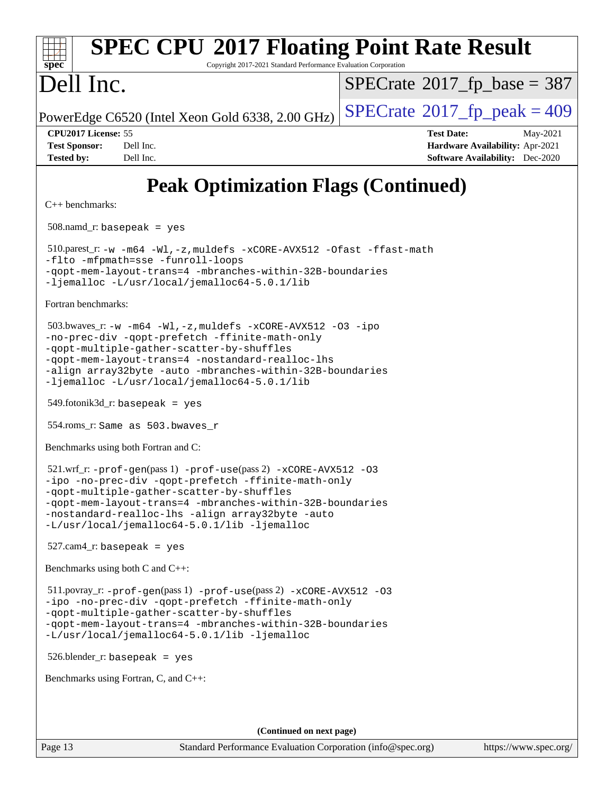

# **[SPEC CPU](http://www.spec.org/auto/cpu2017/Docs/result-fields.html#SPECCPU2017FloatingPointRateResult)[2017 Floating Point Rate Result](http://www.spec.org/auto/cpu2017/Docs/result-fields.html#SPECCPU2017FloatingPointRateResult)**

Copyright 2017-2021 Standard Performance Evaluation Corporation

# Dell Inc.

 $SPECTate$ <sup>®</sup>[2017\\_fp\\_base =](http://www.spec.org/auto/cpu2017/Docs/result-fields.html#SPECrate2017fpbase) 387

PowerEdge C6520 (Intel Xeon Gold 6338, 2.00 GHz)  $\left|$  [SPECrate](http://www.spec.org/auto/cpu2017/Docs/result-fields.html#SPECrate2017fppeak)<sup>®</sup>[2017\\_fp\\_peak = 4](http://www.spec.org/auto/cpu2017/Docs/result-fields.html#SPECrate2017fppeak)09

**[CPU2017 License:](http://www.spec.org/auto/cpu2017/Docs/result-fields.html#CPU2017License)** 55 **[Test Date:](http://www.spec.org/auto/cpu2017/Docs/result-fields.html#TestDate)** May-2021 **[Test Sponsor:](http://www.spec.org/auto/cpu2017/Docs/result-fields.html#TestSponsor)** Dell Inc. **[Hardware Availability:](http://www.spec.org/auto/cpu2017/Docs/result-fields.html#HardwareAvailability)** Apr-2021 **[Tested by:](http://www.spec.org/auto/cpu2017/Docs/result-fields.html#Testedby)** Dell Inc. **[Software Availability:](http://www.spec.org/auto/cpu2017/Docs/result-fields.html#SoftwareAvailability)** Dec-2020

# **[Peak Optimization Flags \(Continued\)](http://www.spec.org/auto/cpu2017/Docs/result-fields.html#PeakOptimizationFlags)**

[C++ benchmarks:](http://www.spec.org/auto/cpu2017/Docs/result-fields.html#CXXbenchmarks)

508.namd  $r:$  basepeak = yes

 510.parest\_r: [-w](http://www.spec.org/cpu2017/results/res2021q2/cpu2017-20210510-26153.flags.html#user_peakCXXLD510_parest_r_supress_warning_66fb2c4e5c1dd10f38bdd29623979399e5ae75ae6e5453792d82ef66afed381df4a8602f92cac8d2ea0fffa7b93b4b1ccb9ecad4af01c9b2fe338b2082ae3859) [-m64](http://www.spec.org/cpu2017/results/res2021q2/cpu2017-20210510-26153.flags.html#user_peakCXXLD510_parest_r_m64-icc) [-Wl,-z,muldefs](http://www.spec.org/cpu2017/results/res2021q2/cpu2017-20210510-26153.flags.html#user_peakEXTRA_LDFLAGS510_parest_r_link_force_multiple1_b4cbdb97b34bdee9ceefcfe54f4c8ea74255f0b02a4b23e853cdb0e18eb4525ac79b5a88067c842dd0ee6996c24547a27a4b99331201badda8798ef8a743f577) [-xCORE-AVX512](http://www.spec.org/cpu2017/results/res2021q2/cpu2017-20210510-26153.flags.html#user_peakCXXOPTIMIZE510_parest_r_f-xCORE-AVX512) [-Ofast](http://www.spec.org/cpu2017/results/res2021q2/cpu2017-20210510-26153.flags.html#user_peakCXXOPTIMIZE510_parest_r_f-Ofast) [-ffast-math](http://www.spec.org/cpu2017/results/res2021q2/cpu2017-20210510-26153.flags.html#user_peakCXXOPTIMIZE510_parest_r_f-ffast-math) [-flto](http://www.spec.org/cpu2017/results/res2021q2/cpu2017-20210510-26153.flags.html#user_peakCXXOPTIMIZE510_parest_r_f-flto) [-mfpmath=sse](http://www.spec.org/cpu2017/results/res2021q2/cpu2017-20210510-26153.flags.html#user_peakCXXOPTIMIZE510_parest_r_f-mfpmath_70eb8fac26bde974f8ab713bc9086c5621c0b8d2f6c86f38af0bd7062540daf19db5f3a066d8c6684be05d84c9b6322eb3b5be6619d967835195b93d6c02afa1) [-funroll-loops](http://www.spec.org/cpu2017/results/res2021q2/cpu2017-20210510-26153.flags.html#user_peakCXXOPTIMIZE510_parest_r_f-funroll-loops) [-qopt-mem-layout-trans=4](http://www.spec.org/cpu2017/results/res2021q2/cpu2017-20210510-26153.flags.html#user_peakCXXOPTIMIZE510_parest_r_f-qopt-mem-layout-trans_fa39e755916c150a61361b7846f310bcdf6f04e385ef281cadf3647acec3f0ae266d1a1d22d972a7087a248fd4e6ca390a3634700869573d231a252c784941a8) [-mbranches-within-32B-boundaries](http://www.spec.org/cpu2017/results/res2021q2/cpu2017-20210510-26153.flags.html#user_peakEXTRA_CXXOPTIMIZE510_parest_r_f-mbranches-within-32B-boundaries) [-ljemalloc](http://www.spec.org/cpu2017/results/res2021q2/cpu2017-20210510-26153.flags.html#user_peakEXTRA_LIBS510_parest_r_jemalloc_link_lib_d1249b907c500fa1c0672f44f562e3d0f79738ae9e3c4a9c376d49f265a04b9c99b167ecedbf6711b3085be911c67ff61f150a17b3472be731631ba4d0471706) [-L/usr/local/jemalloc64-5.0.1/lib](http://www.spec.org/cpu2017/results/res2021q2/cpu2017-20210510-26153.flags.html#user_peakEXTRA_LIBS510_parest_r_jemalloc_link_path64_1_cc289568b1a6c0fd3b62c91b824c27fcb5af5e8098e6ad028160d21144ef1b8aef3170d2acf0bee98a8da324cfe4f67d0a3d0c4cc4673d993d694dc2a0df248b)

[Fortran benchmarks](http://www.spec.org/auto/cpu2017/Docs/result-fields.html#Fortranbenchmarks):

 503.bwaves\_r: [-w](http://www.spec.org/cpu2017/results/res2021q2/cpu2017-20210510-26153.flags.html#user_peakFCLD503_bwaves_r_supress_warning_66fb2c4e5c1dd10f38bdd29623979399e5ae75ae6e5453792d82ef66afed381df4a8602f92cac8d2ea0fffa7b93b4b1ccb9ecad4af01c9b2fe338b2082ae3859) [-m64](http://www.spec.org/cpu2017/results/res2021q2/cpu2017-20210510-26153.flags.html#user_peakFCLD503_bwaves_r_m64-icc) [-Wl,-z,muldefs](http://www.spec.org/cpu2017/results/res2021q2/cpu2017-20210510-26153.flags.html#user_peakEXTRA_LDFLAGS503_bwaves_r_link_force_multiple1_b4cbdb97b34bdee9ceefcfe54f4c8ea74255f0b02a4b23e853cdb0e18eb4525ac79b5a88067c842dd0ee6996c24547a27a4b99331201badda8798ef8a743f577) [-xCORE-AVX512](http://www.spec.org/cpu2017/results/res2021q2/cpu2017-20210510-26153.flags.html#user_peakFOPTIMIZE503_bwaves_r_f-xCORE-AVX512) [-O3](http://www.spec.org/cpu2017/results/res2021q2/cpu2017-20210510-26153.flags.html#user_peakFOPTIMIZE503_bwaves_r_f-O3) [-ipo](http://www.spec.org/cpu2017/results/res2021q2/cpu2017-20210510-26153.flags.html#user_peakFOPTIMIZE503_bwaves_r_f-ipo) [-no-prec-div](http://www.spec.org/cpu2017/results/res2021q2/cpu2017-20210510-26153.flags.html#user_peakFOPTIMIZE503_bwaves_r_f-no-prec-div) [-qopt-prefetch](http://www.spec.org/cpu2017/results/res2021q2/cpu2017-20210510-26153.flags.html#user_peakFOPTIMIZE503_bwaves_r_f-qopt-prefetch) [-ffinite-math-only](http://www.spec.org/cpu2017/results/res2021q2/cpu2017-20210510-26153.flags.html#user_peakFOPTIMIZE503_bwaves_r_f_finite_math_only_cb91587bd2077682c4b38af759c288ed7c732db004271a9512da14a4f8007909a5f1427ecbf1a0fb78ff2a814402c6114ac565ca162485bbcae155b5e4258871) [-qopt-multiple-gather-scatter-by-shuffles](http://www.spec.org/cpu2017/results/res2021q2/cpu2017-20210510-26153.flags.html#user_peakFOPTIMIZE503_bwaves_r_f-qopt-multiple-gather-scatter-by-shuffles) [-qopt-mem-layout-trans=4](http://www.spec.org/cpu2017/results/res2021q2/cpu2017-20210510-26153.flags.html#user_peakFOPTIMIZE503_bwaves_r_f-qopt-mem-layout-trans_fa39e755916c150a61361b7846f310bcdf6f04e385ef281cadf3647acec3f0ae266d1a1d22d972a7087a248fd4e6ca390a3634700869573d231a252c784941a8) [-nostandard-realloc-lhs](http://www.spec.org/cpu2017/results/res2021q2/cpu2017-20210510-26153.flags.html#user_peakEXTRA_FOPTIMIZE503_bwaves_r_f_2003_std_realloc_82b4557e90729c0f113870c07e44d33d6f5a304b4f63d4c15d2d0f1fab99f5daaed73bdb9275d9ae411527f28b936061aa8b9c8f2d63842963b95c9dd6426b8a) [-align array32byte](http://www.spec.org/cpu2017/results/res2021q2/cpu2017-20210510-26153.flags.html#user_peakEXTRA_FOPTIMIZE503_bwaves_r_align_array32byte_b982fe038af199962ba9a80c053b8342c548c85b40b8e86eb3cc33dee0d7986a4af373ac2d51c3f7cf710a18d62fdce2948f201cd044323541f22fc0fffc51b6) [-auto](http://www.spec.org/cpu2017/results/res2021q2/cpu2017-20210510-26153.flags.html#user_peakEXTRA_FOPTIMIZE503_bwaves_r_f-auto) [-mbranches-within-32B-boundaries](http://www.spec.org/cpu2017/results/res2021q2/cpu2017-20210510-26153.flags.html#user_peakEXTRA_FOPTIMIZE503_bwaves_r_f-mbranches-within-32B-boundaries) [-ljemalloc](http://www.spec.org/cpu2017/results/res2021q2/cpu2017-20210510-26153.flags.html#user_peakEXTRA_LIBS503_bwaves_r_jemalloc_link_lib_d1249b907c500fa1c0672f44f562e3d0f79738ae9e3c4a9c376d49f265a04b9c99b167ecedbf6711b3085be911c67ff61f150a17b3472be731631ba4d0471706) [-L/usr/local/jemalloc64-5.0.1/lib](http://www.spec.org/cpu2017/results/res2021q2/cpu2017-20210510-26153.flags.html#user_peakEXTRA_LIBS503_bwaves_r_jemalloc_link_path64_1_cc289568b1a6c0fd3b62c91b824c27fcb5af5e8098e6ad028160d21144ef1b8aef3170d2acf0bee98a8da324cfe4f67d0a3d0c4cc4673d993d694dc2a0df248b)

 $549.$ fotonik $3d$ <sub>-</sub> $r:$  basepeak = yes

554.roms\_r: Same as 503.bwaves\_r

[Benchmarks using both Fortran and C](http://www.spec.org/auto/cpu2017/Docs/result-fields.html#BenchmarksusingbothFortranandC):

```
521.wrf_r: -\text{prof-qen}(pass 1) -\text{prof-use}(pass 2) -\text{xCORE-AVX512} -03-ipo -no-prec-div -qopt-prefetch -ffinite-math-only
-qopt-multiple-gather-scatter-by-shuffles
-qopt-mem-layout-trans=4 -mbranches-within-32B-boundaries
-nostandard-realloc-lhs -align array32byte -auto
-L/usr/local/jemalloc64-5.0.1/lib -ljemalloc
```
527.cam4\_r: basepeak = yes

[Benchmarks using both C and C++](http://www.spec.org/auto/cpu2017/Docs/result-fields.html#BenchmarksusingbothCandCXX):

```
 511.povray_r: -prof-gen(pass 1) -prof-use(pass 2) -xCORE-AVX512 -O3
-ipo -no-prec-div -qopt-prefetch -ffinite-math-only
-qopt-multiple-gather-scatter-by-shuffles
-qopt-mem-layout-trans=4 -mbranches-within-32B-boundaries
-L/usr/local/jemalloc64-5.0.1/lib -ljemalloc
```
526.blender\_r: basepeak = yes

[Benchmarks using Fortran, C, and C++:](http://www.spec.org/auto/cpu2017/Docs/result-fields.html#BenchmarksusingFortranCandCXX)

**(Continued on next page)**